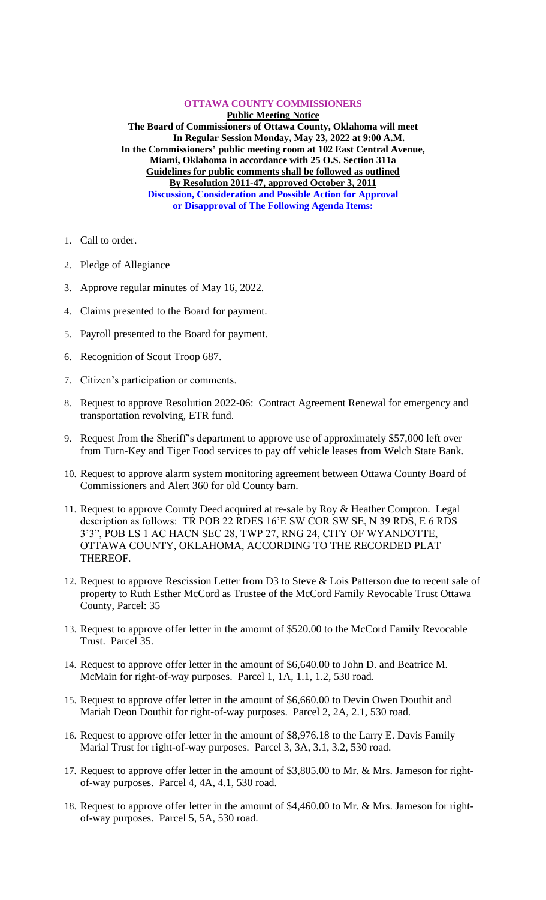**Public Meeting Notice The Board of Commissioners of Ottawa County, Oklahoma will meet In Regular Session Monday, May 23, 2022 at 9:00 A.M. In the Commissioners' public meeting room at 102 East Central Avenue, Miami, Oklahoma in accordance with 25 O.S. Section 311a Guidelines for public comments shall be followed as outlined By Resolution 2011-47, approved October 3, 2011 Discussion, Consideration and Possible Action for Approval or Disapproval of The Following Agenda Items:**

**OTTAWA COUNTY COMMISSIONERS**

- 1. Call to order.
- 2. Pledge of Allegiance
- 3. Approve regular minutes of May 16, 2022.
- 4. Claims presented to the Board for payment.
- 5. Payroll presented to the Board for payment.
- 6. Recognition of Scout Troop 687.
- 7. Citizen's participation or comments.
- 8. Request to approve Resolution 2022-06: Contract Agreement Renewal for emergency and transportation revolving, ETR fund.
- 9. Request from the Sheriff's department to approve use of approximately \$57,000 left over from Turn-Key and Tiger Food services to pay off vehicle leases from Welch State Bank.
- 10. Request to approve alarm system monitoring agreement between Ottawa County Board of Commissioners and Alert 360 for old County barn.
- 11. Request to approve County Deed acquired at re-sale by Roy & Heather Compton. Legal description as follows: TR POB 22 RDES 16'E SW COR SW SE, N 39 RDS, E 6 RDS 3'3", POB LS 1 AC HACN SEC 28, TWP 27, RNG 24, CITY OF WYANDOTTE, OTTAWA COUNTY, OKLAHOMA, ACCORDING TO THE RECORDED PLAT THEREOF.
- 12. Request to approve Rescission Letter from D3 to Steve & Lois Patterson due to recent sale of property to Ruth Esther McCord as Trustee of the McCord Family Revocable Trust Ottawa County, Parcel: 35
- 13. Request to approve offer letter in the amount of \$520.00 to the McCord Family Revocable Trust. Parcel 35.
- 14. Request to approve offer letter in the amount of \$6,640.00 to John D. and Beatrice M. McMain for right-of-way purposes. Parcel 1, 1A, 1.1, 1.2, 530 road.
- 15. Request to approve offer letter in the amount of \$6,660.00 to Devin Owen Douthit and Mariah Deon Douthit for right-of-way purposes. Parcel 2, 2A, 2.1, 530 road.
- 16. Request to approve offer letter in the amount of \$8,976.18 to the Larry E. Davis Family Marial Trust for right-of-way purposes. Parcel 3, 3A, 3.1, 3.2, 530 road.
- 17. Request to approve offer letter in the amount of \$3,805.00 to Mr. & Mrs. Jameson for rightof-way purposes. Parcel 4, 4A, 4.1, 530 road.
- 18. Request to approve offer letter in the amount of \$4,460.00 to Mr. & Mrs. Jameson for rightof-way purposes. Parcel 5, 5A, 530 road.